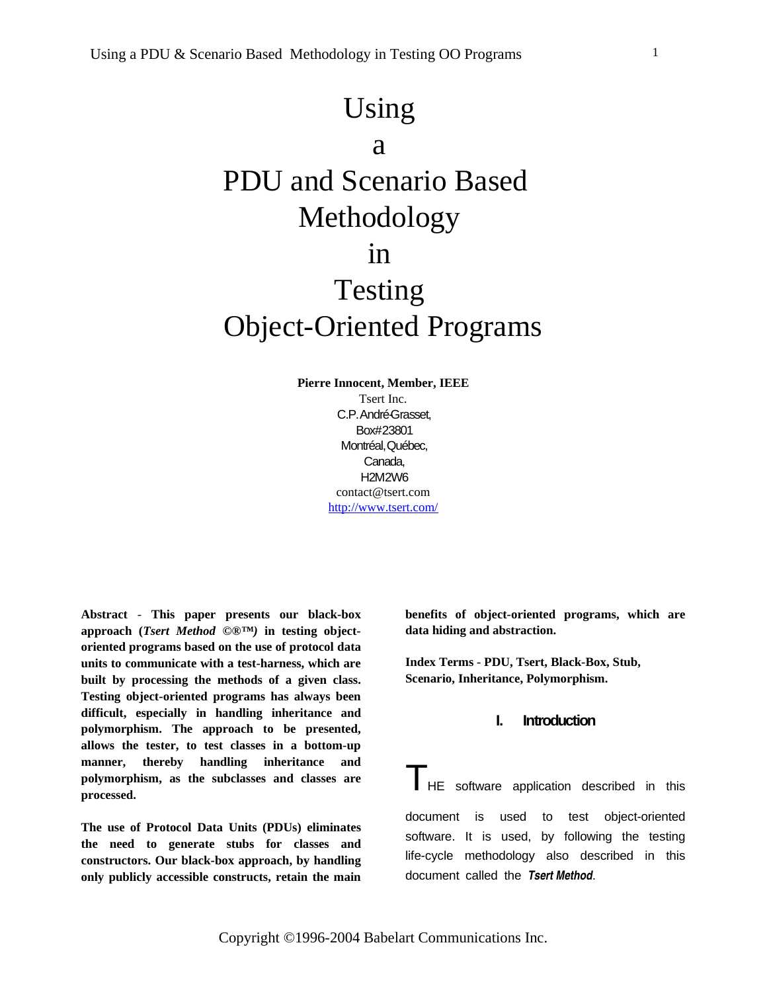# Using

# a

# PDU and Scenario Based Methodology

# in

# Testing Object-Oriented Programs

**Pierre Innocent, Member, IEEE** Tsert Inc. C.P.André-Grasset, Box#23801 Montréal,Québec, Canada, H2M2W6 contact@tsert.com http://www.tsert.com/

**Abstract** - **This paper presents our black-box approach (***Tsert Method ©®™)* **in testing objectoriented programs based on the use of protocol data units to communicate with a test-harness, which are built by processing the methods of a given class. Testing object-oriented programs has always been difficult, especially in handling inheritance and polymorphism. The approach to be presented, allows the tester, to test classes in a bottom-up manner, thereby handling inheritance and polymorphism, as the subclasses and classes are processed.**

**The use of Protocol Data Units (PDUs) eliminates the need to generate stubs for classes and constructors. Our black-box approach, by handling only publicly accessible constructs, retain the main** **benefits of object-oriented programs, which are data hiding and abstraction.**

**Index Terms - PDU, Tsert, Black-Box, Stub, Scenario, Inheritance, Polymorphism.**

# **I. Introduction**

**THE** software application described in this document is used to test object-oriented software. It is used, by following the testing life-cycle methodology also described in this document called the *Tsert Method*.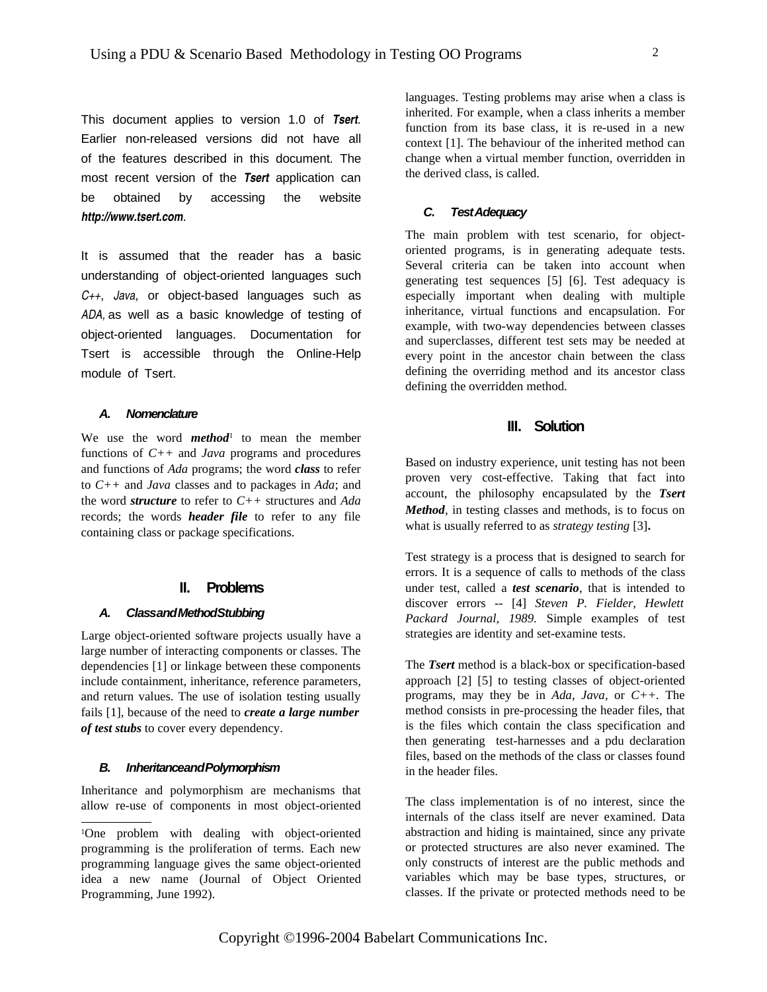This document applies to version 1.0 of *Tsert*. Earlier non-released versions did not have all of the features described in this document. The most recent version of the *Tsert* application can be obtained by accessing the website *http://www.tsert.com*.

It is assumed that the reader has a basic understanding of object-oriented languages such *C++*, *Java*, or object-based languages such as *ADA,* as well as a basic knowledge of testing of object-oriented languages. Documentation for Tsert is accessible through the Online-Help module of Tsert.

### **A. Nomenclature**

We use the word **method**<sup>1</sup> to mean the member functions of *C++* and *Java* programs and procedures and functions of *Ada* programs; the word *class* to refer to *C++* and *Java* classes and to packages in *Ada*; and the word *structure* to refer to *C++* structures and *Ada* records; the words *header file* to refer to any file containing class or package specifications.

#### **II. Problems**

## **A. ClassandMethodStubbing**

Large object-oriented software projects usually have a large number of interacting components or classes. The dependencies [1] or linkage between these components include containment, inheritance, reference parameters, and return values. The use of isolation testing usually fails [1], because of the need to *create a large number of test stubs* to cover every dependency.

#### **B. InheritanceandPolymorphism**

Inheritance and polymorphism are mechanisms that allow re-use of components in most object-oriented

languages. Testing problems may arise when a class is inherited. For example, when a class inherits a member function from its base class, it is re-used in a new context [1]. The behaviour of the inherited method can change when a virtual member function, overridden in the derived class, is called.

#### **C. TestAdequacy**

The main problem with test scenario, for objectoriented programs, is in generating adequate tests. Several criteria can be taken into account when generating test sequences [5] [6]. Test adequacy is especially important when dealing with multiple inheritance, virtual functions and encapsulation. For example, with two-way dependencies between classes and superclasses, different test sets may be needed at every point in the ancestor chain between the class defining the overriding method and its ancestor class defining the overridden method.

# **III. Solution**

Based on industry experience, unit testing has not been proven very cost-effective. Taking that fact into account, the philosophy encapsulated by the *Tsert Method*, in testing classes and methods, is to focus on what is usually referred to as *strategy testing* [3]**.**

Test strategy is a process that is designed to search for errors. It is a sequence of calls to methods of the class under test, called a *test scenario*, that is intended to discover errors -- [4] *Steven P. Fielder, Hewlett Packard Journal, 1989.* Simple examples of test strategies are identity and set-examine tests.

The *Tsert* method is a black-box or specification-based approach [2] [5] to testing classes of object-oriented programs, may they be in *Ada*, *Java*, or *C++.* The method consists in pre-processing the header files, that is the files which contain the class specification and then generating test-harnesses and a pdu declaration files, based on the methods of the class or classes found in the header files.

The class implementation is of no interest, since the internals of the class itself are never examined. Data abstraction and hiding is maintained, since any private or protected structures are also never examined. The only constructs of interest are the public methods and variables which may be base types, structures, or classes. If the private or protected methods need to be

<sup>1</sup>One problem with dealing with object-oriented programming is the proliferation of terms. Each new programming language gives the same object-oriented idea a new name (Journal of Object Oriented Programming, June 1992).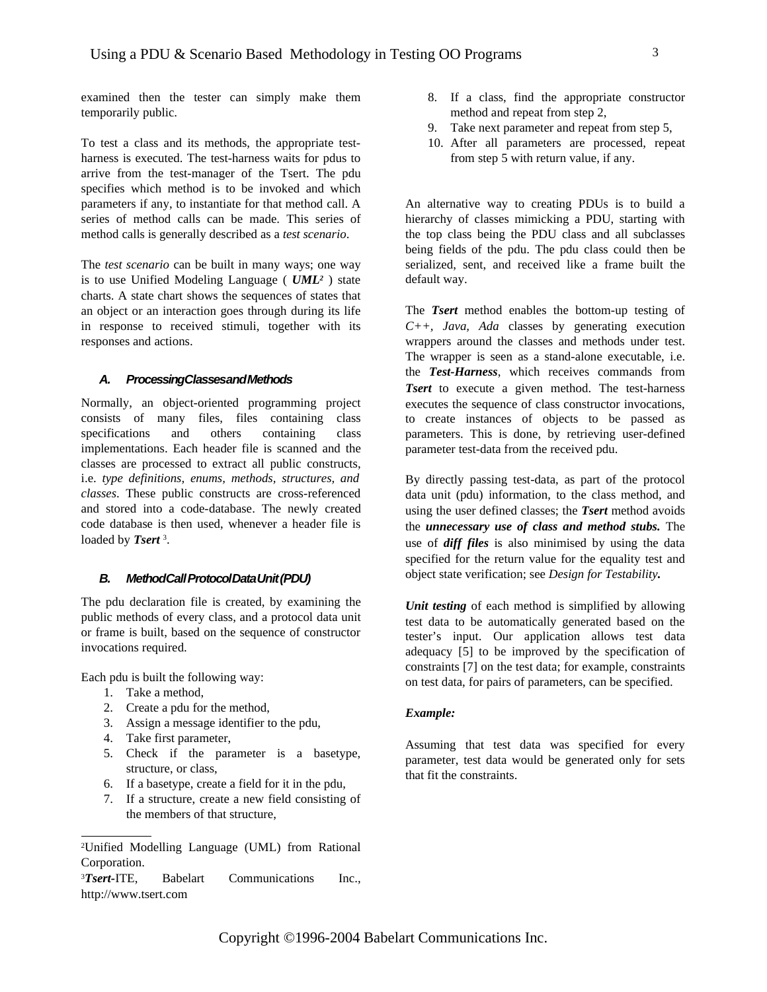examined then the tester can simply make them temporarily public.

To test a class and its methods, the appropriate testharness is executed. The test-harness waits for pdus to arrive from the test-manager of the Tsert. The pdu specifies which method is to be invoked and which parameters if any, to instantiate for that method call. A series of method calls can be made. This series of method calls is generally described as a *test scenario*.

The *test scenario* can be built in many ways; one way is to use Unified Modeling Language ( *UML<sup>2</sup>* ) state charts. A state chart shows the sequences of states that an object or an interaction goes through during its life in response to received stimuli, together with its responses and actions.

#### **A. ProcessingClassesandMethods**

Normally, an object-oriented programming project consists of many files, files containing class specifications and others containing class implementations. Each header file is scanned and the classes are processed to extract all public constructs, i.e. *type definitions, enums, methods, structures, and classes*. These public constructs are cross-referenced and stored into a code-database. The newly created code database is then used, whenever a header file is loaded by **Tsert**<sup>3</sup>.

#### **B. MethodCallProtocolDataUnit(PDU)**

The pdu declaration file is created, by examining the public methods of every class, and a protocol data unit or frame is built, based on the sequence of constructor invocations required.

Each pdu is built the following way:

- 1. Take a method,
- 2. Create a pdu for the method,
- 3. Assign a message identifier to the pdu,
- 4. Take first parameter,
- 5. Check if the parameter is a basetype, structure, or class,
- 6. If a basetype, create a field for it in the pdu,
- 7. If a structure, create a new field consisting of the members of that structure,
- 8. If a class, find the appropriate constructor method and repeat from step 2,
- 9. Take next parameter and repeat from step 5,
- 10. After all parameters are processed, repeat from step 5 with return value, if any.

An alternative way to creating PDUs is to build a hierarchy of classes mimicking a PDU, starting with the top class being the PDU class and all subclasses being fields of the pdu. The pdu class could then be serialized, sent, and received like a frame built the default way.

The *Tsert* method enables the bottom-up testing of *C++, Java, Ada* classes by generating execution wrappers around the classes and methods under test. The wrapper is seen as a stand-alone executable, i.e. the *Test-Harness*, which receives commands from *Tsert* to execute a given method. The test-harness executes the sequence of class constructor invocations, to create instances of objects to be passed as parameters. This is done, by retrieving user-defined parameter test-data from the received pdu.

By directly passing test-data, as part of the protocol data unit (pdu) information, to the class method, and using the user defined classes; the *Tsert* method avoids the *unnecessary use of class and method stubs.* The use of *diff files* is also minimised by using the data specified for the return value for the equality test and object state verification; see *Design for Testability.*

*Unit testing* of each method is simplified by allowing test data to be automatically generated based on the tester's input. Our application allows test data adequacy [5] to be improved by the specification of constraints [7] on the test data; for example, constraints on test data, for pairs of parameters, can be specified.

#### *Example:*

Assuming that test data was specified for every parameter, test data would be generated only for sets that fit the constraints.

<sup>2</sup>Unified Modelling Language (UML) from Rational Corporation.

<sup>3</sup>*Tsert-*ITE, Babelart Communications Inc., http://www.tsert.com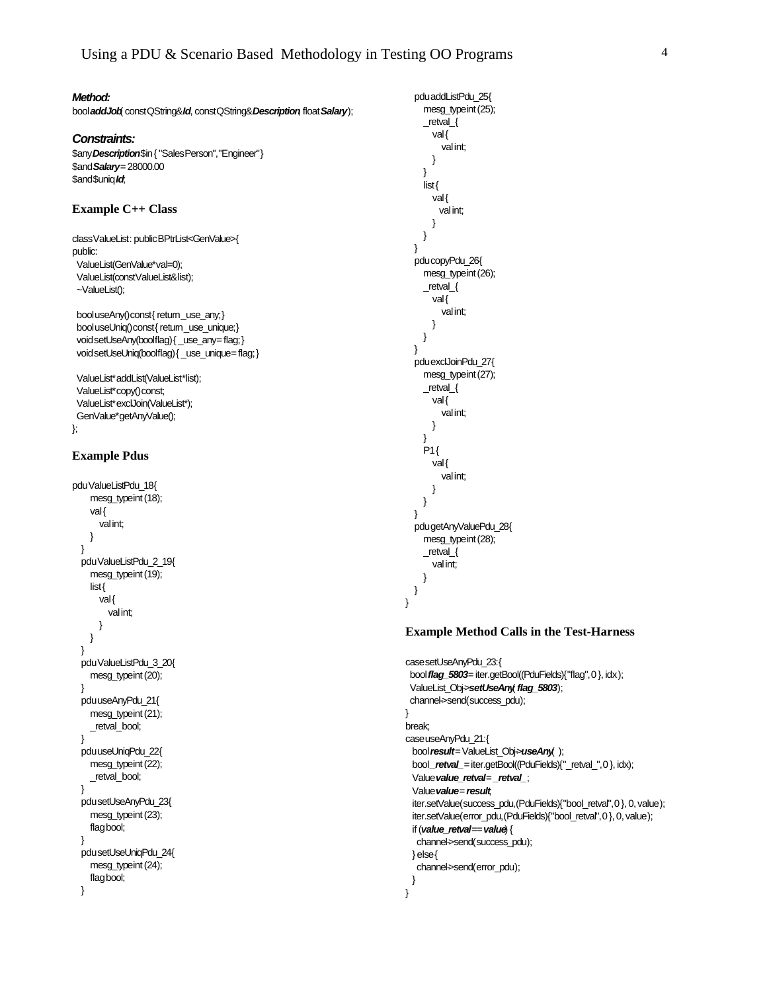**Method:**

bool**addJob**( constQString&**Id**, constQString&**Description**, float**Salary**);

#### **Constraints:**

\$any**Description**\$in{"SalesPerson","Engineer"} \$and**Salary**=28000.00 \$and\$uniq**Id**;

#### **Example C++ Class**

classValueList: publicBPtrList<GenValue>{ public: ValueList(GenValue\*val=0);

ValueList(constValueList&list); ~ValueList();

booluseAny()const{return\_use\_any;} bool useUniq()const{return\_use\_unique;} voidsetUseAny(boolflag){ \_use\_any=flag;} voidsetUseUniq(boolflag){ \_use\_unique=flag;}

ValueList\*addList(ValueList\*list); ValueList\*copy()const; ValueList\*exclJoin(ValueList\*); GenValue\*getAnyValue(); };

#### **Example Pdus**

```
pduValueListPdu_18{
    mesg_typeint (18);
    val{
      valint;
    }
  }
  pduValueListPdu_2_19{
    mesg_typeint (19);
    list{
      val{
        valint;
      }
    }
  }
  pduValueListPdu_3_20{
    mesg_typeint(20);
  }
  pduuseAnyPdu_21{
    mesg_typeint(21);
    _retval_bool;
  }
  pduuseUniqPdu_22{
    mesg_typeint(22);
    _retval_bool;
  }
  pdusetUseAnyPdu_23{
    mesg_typeint(23);
    flagbool;
  }
  pdusetUseUniqPdu_24{
    mesg_typeint (24);
    flagbool;
  }
```
mesg\_typeint(25); \_retval\_{ val{ valint; } } list{ val{ valint; } } } pducopyPdu\_26{ mesg\_typeint(26); \_retval\_{ val{ valint; } } } pduexclJoinPdu\_27{ mesg\_typeint(27); \_retval\_{ val{ valint; } }  $P1$ { val{ valint; } } } pdugetAnyValuePdu\_28{ mesg\_typeint(28); \_retval\_{ valint; } }

}

pduaddListPdu\_25{

#### **Example Method Calls in the Test-Harness**

```
casesetUseAnyPdu_23:{
 boolflag_5803=iter.getBool((PduFields){"flag",0}, idx);
 ValueList_Obj->setUseAny( flag_5803);
 channel->send(success_pdu);
}
break;
caseuseAnyPdu_21:{
 bool result=ValueList_Obj>useAny( );
 bool_retval_=iter.getBool((PduFields){"_retval_",0}, idx);
 Valuevalue_retval=_retval_;
 Valuevalue=result;
 iter.setValue(success_pdu,(PduFields){"bool_retval",0}, 0,value);
 iter.setValue(error_pdu,(PduFields){"bool_retval",0},0,value);
 if (value_retval== value) {
   channel->send(success_pdu);
 } else{
   channel->send(error_pdu);
 }
}
```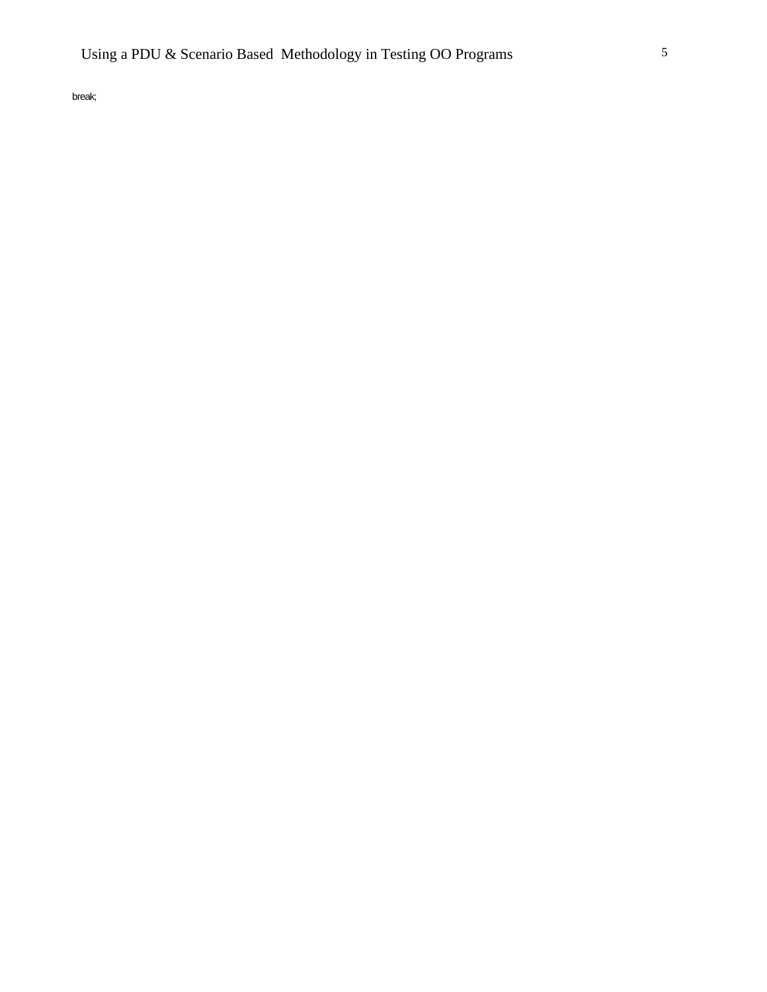break;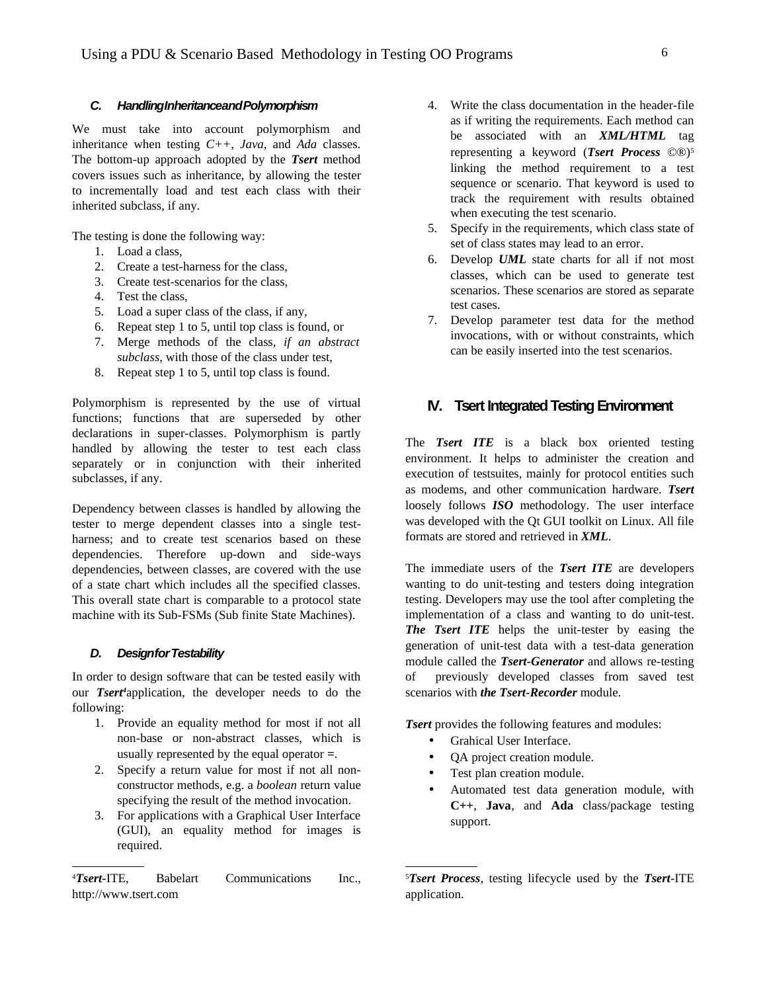#### **C. HandlingInheritanceandPolymorphism**

We must take into account polymorphism and inheritance when testing *C++, Java,* and *Ada* classes. The bottom-up approach adopted by the *Tsert* method covers issues such as inheritance, by allowing the tester to incrementally load and test each class with their inherited subclass, if any.

The testing is done the following way:

- 1. Load a class,
- 2. Create a test-harness for the class,
- 3. Create test-scenarios for the class,
- 4. Test the class,
- 5. Load a super class of the class, if any,
- 6. Repeat step 1 to 5, until top class is found, or
- 7. Merge methods of the class*, if an abstract subclass*, with those of the class under test,
- 8. Repeat step 1 to 5, until top class is found.

Polymorphism is represented by the use of virtual functions; functions that are superseded by other declarations in super-classes. Polymorphism is partly handled by allowing the tester to test each class separately or in conjunction with their inherited subclasses, if any.

Dependency between classes is handled by allowing the tester to merge dependent classes into a single testharness; and to create test scenarios based on these dependencies. Therefore up-down and side-ways dependencies, between classes, are covered with the use of a state chart which includes all the specified classes. This overall state chart is comparable to a protocol state machine with its Sub-FSMs (Sub finite State Machines).

#### **D. DesignforTestability**

In order to design software that can be tested easily with our *Tsert <sup>4</sup>*application, the developer needs to do the following:

- 1. Provide an equality method for most if not all non-base or non-abstract classes, which is usually represented by the equal operator **=**.
- 2. Specify a return value for most if not all nonconstructor methods, e.g. a *boolean* return value specifying the result of the method invocation.
- 3. For applications with a Graphical User Interface (GUI), an equality method for images is required.

<sup>4</sup>*Tsert-*ITE, Babelart Communications Inc., http://www.tsert.com

- 4. Write the class documentation in the header-file as if writing the requirements. Each method can be associated with an *XML/HTML* tag representing a keyword (*Tsert Process* ©®) 5 linking the method requirement to a test sequence or scenario. That keyword is used to track the requirement with results obtained when executing the test scenario.
- 5. Specify in the requirements, which class state of set of class states may lead to an error.
- 6. Develop *UML* state charts for all if not most classes, which can be used to generate test scenarios. These scenarios are stored as separate test cases.
- 7. Develop parameter test data for the method invocations, with or without constraints, which can be easily inserted into the test scenarios.

# **IV.** Tsert Integrated Testing Environment

The *Tsert ITE* is a black box oriented testing environment. It helps to administer the creation and execution of testsuites, mainly for protocol entities such as modems, and other communication hardware. *Tsert* loosely follows *ISO* methodology. The user interface was developed with the Qt GUI toolkit on Linux. All file formats are stored and retrieved in *XML*.

The immediate users of the *Tsert ITE* are developers wanting to do unit-testing and testers doing integration testing. Developers may use the tool after completing the implementation of a class and wanting to do unit-test. *The Tsert ITE* helps the unit-tester by easing the generation of unit-test data with a test-data generation module called the *Tsert-Generator* and allows re-testing of previously developed classes from saved test scenarios with *the Tsert-Recorder* module.

*Tsert* provides the following features and modules:

- Grahical User Interface.
- OA project creation module.
- Test plan creation module.
- Automated test data generation module, with **C++**, **Java**, and **Ada** class/package testing support.

<sup>5</sup>*Tsert Process*, testing lifecycle used by the *Tsert*-ITE application.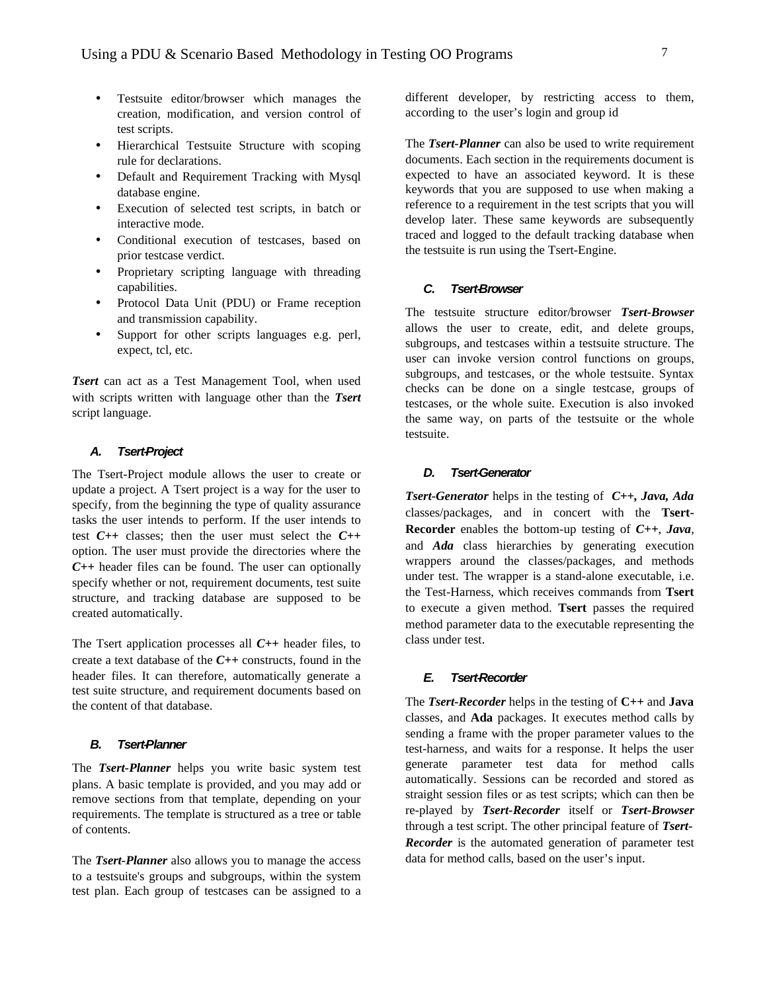- Testsuite editor/browser which manages the creation, modification, and version control of test scripts.
- Hierarchical Testsuite Structure with scoping rule for declarations.
- Default and Requirement Tracking with Mysql database engine.
- Execution of selected test scripts, in batch or interactive mode.
- Conditional execution of testcases, based on prior testcase verdict.
- Proprietary scripting language with threading capabilities.
- Protocol Data Unit (PDU) or Frame reception and transmission capability.
- Support for other scripts languages e.g. perl, expect, tcl, etc.

*Tsert* can act as a Test Management Tool, when used with scripts written with language other than the *Tsert* script language.

# **A. Tsert-Project**

The Tsert-Project module allows the user to create or update a project. A Tsert project is a way for the user to specify, from the beginning the type of quality assurance tasks the user intends to perform. If the user intends to test *C++* classes; then the user must select the *C++* option. The user must provide the directories where the *C++* header files can be found. The user can optionally specify whether or not, requirement documents, test suite structure, and tracking database are supposed to be created automatically.

The Tsert application processes all *C++* header files, to create a text database of the *C++* constructs, found in the header files. It can therefore, automatically generate a test suite structure, and requirement documents based on the content of that database.

#### **B. Tsert-Planner**

The *Tsert-Planner* helps you write basic system test plans. A basic template is provided, and you may add or remove sections from that template, depending on your requirements. The template is structured as a tree or table of contents.

The *Tsert-Planner* also allows you to manage the access to a testsuite's groups and subgroups, within the system test plan. Each group of testcases can be assigned to a different developer, by restricting access to them, according to the user's login and group id

The *Tsert-Planner* can also be used to write requirement documents. Each section in the requirements document is expected to have an associated keyword. It is these keywords that you are supposed to use when making a reference to a requirement in the test scripts that you will develop later. These same keywords are subsequently traced and logged to the default tracking database when the testsuite is run using the Tsert-Engine.

#### **C. Tsert-Browser**

The testsuite structure editor/browser *Tsert-Browser* allows the user to create, edit, and delete groups, subgroups, and testcases within a testsuite structure. The user can invoke version control functions on groups, subgroups, and testcases, or the whole testsuite. Syntax checks can be done on a single testcase, groups of testcases, or the whole suite. Execution is also invoked the same way, on parts of the testsuite or the whole testsuite.

#### **D. Tsert-Generator**

*Tsert-Generator* helps in the testing of *C++, Java, Ada* classes/packages, and in concert with the **Tsert-Recorder** enables the bottom-up testing of *C++*, *Java*, and *Ada* class hierarchies by generating execution wrappers around the classes/packages, and methods under test. The wrapper is a stand-alone executable, i.e. the Test-Harness, which receives commands from **Tsert** to execute a given method. **Tsert** passes the required method parameter data to the executable representing the class under test.

#### **E. Tsert-Recorder**

The *Tsert-Recorder* helps in the testing of **C++** and **Java** classes, and **Ada** packages. It executes method calls by sending a frame with the proper parameter values to the test-harness, and waits for a response. It helps the user generate parameter test data for method calls automatically. Sessions can be recorded and stored as straight session files or as test scripts; which can then be re-played by *Tsert-Recorder* itself or *Tsert-Browser* through a test script. The other principal feature of *Tsert-Recorder* is the automated generation of parameter test data for method calls, based on the user's input.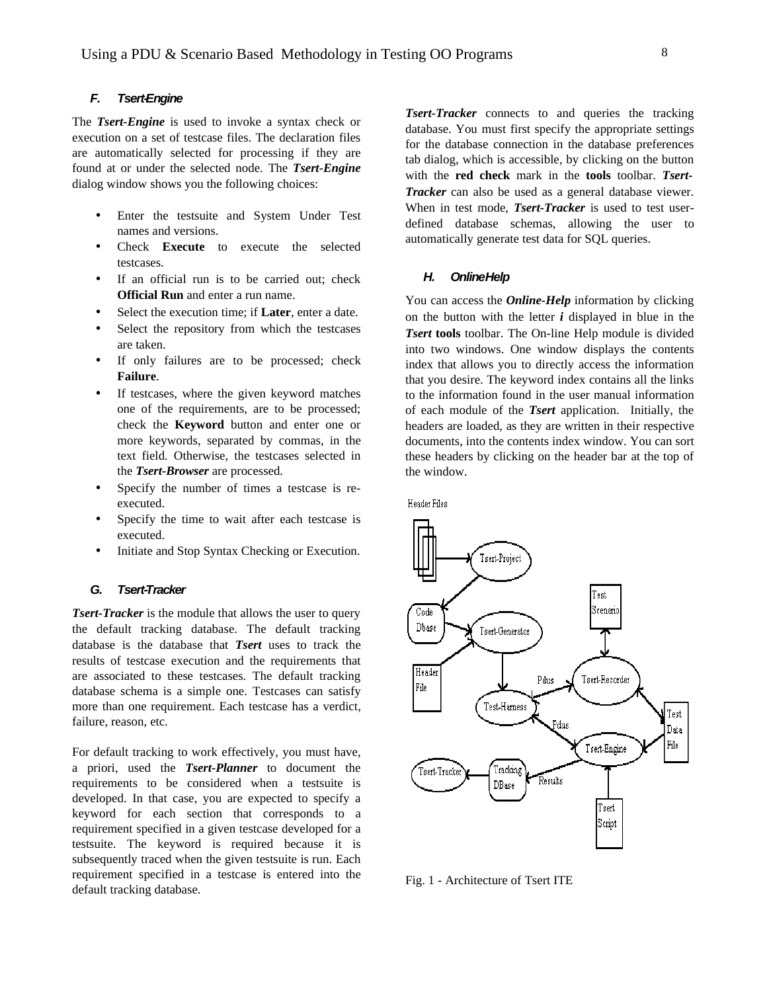# **F. Tsert-Engine**

The *Tsert-Engine* is used to invoke a syntax check or execution on a set of testcase files. The declaration files are automatically selected for processing if they are found at or under the selected node. The *Tsert-Engine* dialog window shows you the following choices:

- Enter the testsuite and System Under Test names and versions.
- Check **Execute** to execute the selected testcases.
- If an official run is to be carried out; check **Official Run** and enter a run name.
- Select the execution time; if **Later**, enter a date.
- Select the repository from which the testcases are taken.
- If only failures are to be processed; check **Failure**.
- If testcases, where the given keyword matches one of the requirements, are to be processed; check the **Keyword** button and enter one or more keywords, separated by commas, in the text field. Otherwise, the testcases selected in the *Tsert-Browser* are processed.
- Specify the number of times a testcase is reexecuted.
- Specify the time to wait after each testcase is executed.
- Initiate and Stop Syntax Checking or Execution.

### **G. Tsert-Tracker**

*Tsert-Tracker* is the module that allows the user to query the default tracking database. The default tracking database is the database that *Tsert* uses to track the results of testcase execution and the requirements that are associated to these testcases. The default tracking database schema is a simple one. Testcases can satisfy more than one requirement. Each testcase has a verdict, failure, reason, etc.

For default tracking to work effectively, you must have, a priori, used the *Tsert-Planner* to document the requirements to be considered when a testsuite is developed. In that case, you are expected to specify a keyword for each section that corresponds to a requirement specified in a given testcase developed for a testsuite. The keyword is required because it is subsequently traced when the given testsuite is run. Each requirement specified in a testcase is entered into the default tracking database.

*Tsert-Tracker* connects to and queries the tracking database. You must first specify the appropriate settings for the database connection in the database preferences tab dialog, which is accessible, by clicking on the button with the **red check** mark in the **tools** toolbar. *Tsert-Tracker* can also be used as a general database viewer. When in test mode, *Tsert-Tracker* is used to test userdefined database schemas, allowing the user to automatically generate test data for SQL queries.

### **H. OnlineHelp**

You can access the *Online-Help* information by clicking on the button with the letter *i* displayed in blue in the *Tsert* **tools** toolbar. The On-line Help module is divided into two windows. One window displays the contents index that allows you to directly access the information that you desire. The keyword index contains all the links to the information found in the user manual information of each module of the *Tsert* application. Initially, the headers are loaded, as they are written in their respective documents, into the contents index window. You can sort these headers by clicking on the header bar at the top of the window.



Fig. 1 - Architecture of Tsert ITE